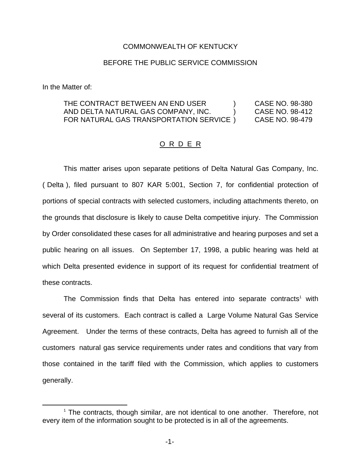## COMMONWEALTH OF KENTUCKY

## BEFORE THE PUBLIC SERVICE COMMISSION

In the Matter of:

| THE CONTRACT BETWEEN AN END USER       | CASE NO. 98-380 |  |
|----------------------------------------|-----------------|--|
| AND DELTA NATURAL GAS COMPANY, INC.    | CASE NO. 98-412 |  |
| FOR NATURAL GAS TRANSPORTATION SERVICE | CASE NO. 98-479 |  |

## O R D E R

This matter arises upon separate petitions of Delta Natural Gas Company, Inc. ( Delta ), filed pursuant to 807 KAR 5:001, Section 7, for confidential protection of portions of special contracts with selected customers, including attachments thereto, on the grounds that disclosure is likely to cause Delta competitive injury. The Commission by Order consolidated these cases for all administrative and hearing purposes and set a public hearing on all issues. On September 17, 1998, a public hearing was held at which Delta presented evidence in support of its request for confidential treatment of these contracts.

The Commission finds that Delta has entered into separate contracts<sup>1</sup> with several of its customers. Each contract is called a Large Volume Natural Gas Service Agreement. Under the terms of these contracts, Delta has agreed to furnish all of the customers natural gas service requirements under rates and conditions that vary from those contained in the tariff filed with the Commission, which applies to customers generally.

<sup>&</sup>lt;sup>1</sup> The contracts, though similar, are not identical to one another. Therefore, not every item of the information sought to be protected is in all of the agreements.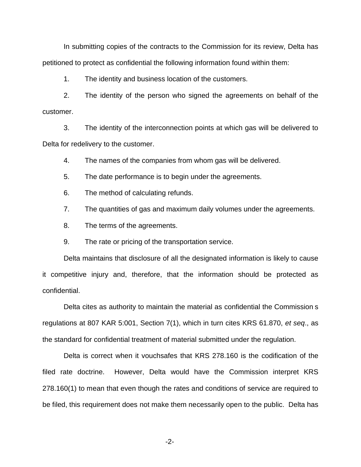In submitting copies of the contracts to the Commission for its review, Delta has petitioned to protect as confidential the following information found within them:

1. The identity and business location of the customers.

2. The identity of the person who signed the agreements on behalf of the customer.

3. The identity of the interconnection points at which gas will be delivered to Delta for redelivery to the customer.

4. The names of the companies from whom gas will be delivered.

5. The date performance is to begin under the agreements.

6. The method of calculating refunds.

7. The quantities of gas and maximum daily volumes under the agreements.

8. The terms of the agreements.

9. The rate or pricing of the transportation service.

Delta maintains that disclosure of all the designated information is likely to cause it competitive injury and, therefore, that the information should be protected as confidential.

Delta cites as authority to maintain the material as confidential the Commission s regulations at 807 KAR 5:001, Section 7(1), which in turn cites KRS 61.870, *et seq*., as the standard for confidential treatment of material submitted under the regulation.

Delta is correct when it vouchsafes that KRS 278.160 is the codification of the filed rate doctrine. However, Delta would have the Commission interpret KRS 278.160(1) to mean that even though the rates and conditions of service are required to be filed, this requirement does not make them necessarily open to the public. Delta has

-2-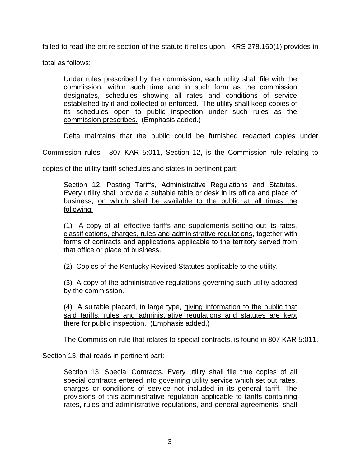failed to read the entire section of the statute it relies upon. KRS 278.160(1) provides in

total as follows:

Under rules prescribed by the commission, each utility shall file with the commission, within such time and in such form as the commission designates, schedules showing all rates and conditions of service established by it and collected or enforced. The utility shall keep copies of its schedules open to public inspection under such rules as the commission prescribes. (Emphasis added.)

Delta maintains that the public could be furnished redacted copies under

Commission rules. 807 KAR 5:011, Section 12, is the Commission rule relating to

copies of the utility tariff schedules and states in pertinent part:

Section 12. Posting Tariffs, Administrative Regulations and Statutes. Every utility shall provide a suitable table or desk in its office and place of business, on which shall be available to the public at all times the following:

(1) A copy of all effective tariffs and supplements setting out its rates, classifications, charges, rules and administrative regulations, together with forms of contracts and applications applicable to the territory served from that office or place of business.

(2) Copies of the Kentucky Revised Statutes applicable to the utility.

(3) A copy of the administrative regulations governing such utility adopted by the commission.

(4) A suitable placard, in large type, giving information to the public that said tariffs, rules and administrative regulations and statutes are kept there for public inspection. (Emphasis added.)

The Commission rule that relates to special contracts, is found in 807 KAR 5:011,

Section 13, that reads in pertinent part:

Section 13. Special Contracts. Every utility shall file true copies of all special contracts entered into governing utility service which set out rates, charges or conditions of service not included in its general tariff. The provisions of this administrative regulation applicable to tariffs containing rates, rules and administrative regulations, and general agreements, shall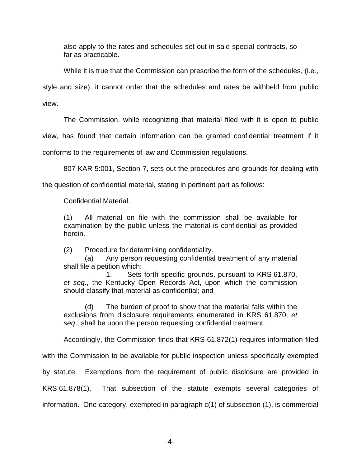also apply to the rates and schedules set out in said special contracts, so far as practicable.

While it is true that the Commission can prescribe the form of the schedules, (i.e., style and size), it cannot order that the schedules and rates be withheld from public view.

The Commission, while recognizing that material filed with it is open to public

view, has found that certain information can be granted confidential treatment if it

conforms to the requirements of law and Commission regulations.

807 KAR 5:001, Section 7, sets out the procedures and grounds for dealing with

the question of confidential material, stating in pertinent part as follows:

Confidential Material.

(1) All material on file with the commission shall be available for examination by the public unless the material is confidential as provided herein.

(2) Procedure for determining confidentiality.

(a) Any person requesting confidential treatment of any material shall file a petition which:

1. Sets forth specific grounds, pursuant to KRS 61.870, *et seq*., the Kentucky Open Records Act, upon which the commission should classify that material as confidential; and

(d) The burden of proof to show that the material falls within the exclusions from disclosure requirements enumerated in KRS 61.870, *et seq*., shall be upon the person requesting confidential treatment.

Accordingly, the Commission finds that KRS 61.872(1) requires information filed

with the Commission to be available for public inspection unless specifically exempted

by statute. Exemptions from the requirement of public disclosure are provided in

KRS 61.878(1). That subsection of the statute exempts several categories of information. One category, exempted in paragraph c(1) of subsection (1), is commercial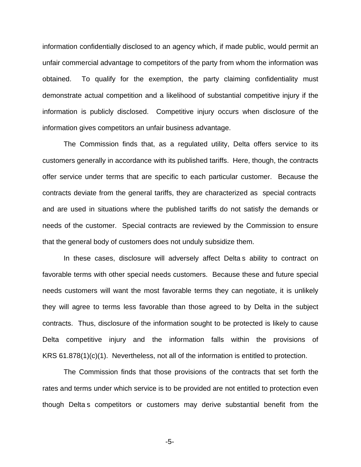information confidentially disclosed to an agency which, if made public, would permit an unfair commercial advantage to competitors of the party from whom the information was obtained. To qualify for the exemption, the party claiming confidentiality must demonstrate actual competition and a likelihood of substantial competitive injury if the information is publicly disclosed. Competitive injury occurs when disclosure of the information gives competitors an unfair business advantage.

The Commission finds that, as a regulated utility, Delta offers service to its customers generally in accordance with its published tariffs. Here, though, the contracts offer service under terms that are specific to each particular customer. Because the contracts deviate from the general tariffs, they are characterized as special contracts and are used in situations where the published tariffs do not satisfy the demands or needs of the customer. Special contracts are reviewed by the Commission to ensure that the general body of customers does not unduly subsidize them.

In these cases, disclosure will adversely affect Delta s ability to contract on favorable terms with other special needs customers. Because these and future special needs customers will want the most favorable terms they can negotiate, it is unlikely they will agree to terms less favorable than those agreed to by Delta in the subject contracts. Thus, disclosure of the information sought to be protected is likely to cause Delta competitive injury and the information falls within the provisions of KRS 61.878(1)(c)(1). Nevertheless, not all of the information is entitled to protection.

The Commission finds that those provisions of the contracts that set forth the rates and terms under which service is to be provided are not entitled to protection even though Delta s competitors or customers may derive substantial benefit from the

-5-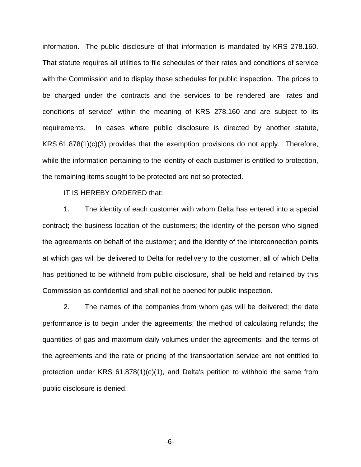information. The public disclosure of that information is mandated by KRS 278.160. That statute requires all utilities to file schedules of their rates and conditions of service with the Commission and to display those schedules for public inspection. The prices to be charged under the contracts and the services to be rendered are rates and conditions of service" within the meaning of KRS 278.160 and are subject to its requirements. In cases where public disclosure is directed by another statute, KRS 61.878(1)(c)(3) provides that the exemption provisions do not apply. Therefore, while the information pertaining to the identity of each customer is entitled to protection, the remaining items sought to be protected are not so protected.

IT IS HEREBY ORDERED that:

1. The identity of each customer with whom Delta has entered into a special contract; the business location of the customers; the identity of the person who signed the agreements on behalf of the customer; and the identity of the interconnection points at which gas will be delivered to Delta for redelivery to the customer, all of which Delta has petitioned to be withheld from public disclosure, shall be held and retained by this Commission as confidential and shall not be opened for public inspection.

2. The names of the companies from whom gas will be delivered; the date performance is to begin under the agreements; the method of calculating refunds; the quantities of gas and maximum daily volumes under the agreements; and the terms of the agreements and the rate or pricing of the transportation service are not entitled to protection under KRS 61.878(1)(c)(1), and Delta's petition to withhold the same from public disclosure is denied.

-6-